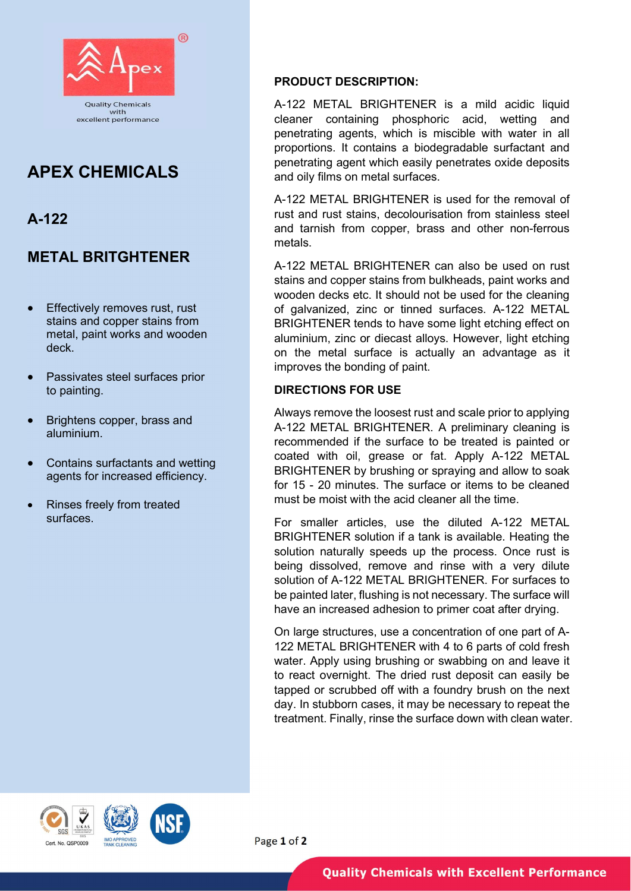

# APEX CHEMICALS

# A-122

## METAL BRITGHTENER

- Effectively removes rust, rust stains and copper stains from metal, paint works and wooden deck.
- Passivates steel surfaces prior to painting.
- Brightens copper, brass and aluminium.
- Contains surfactants and wetting agents for increased efficiency.
- Rinses freely from treated surfaces.

### PRODUCT DESCRIPTION:

A-122 METAL BRIGHTENER is a mild acidic liquid cleaner containing phosphoric acid, wetting and penetrating agents, which is miscible with water in all proportions. It contains a biodegradable surfactant and penetrating agent which easily penetrates oxide deposits and oily films on metal surfaces.

A-122 METAL BRIGHTENER is used for the removal of rust and rust stains, decolourisation from stainless steel and tarnish from copper, brass and other non-ferrous metals.

A-122 METAL BRIGHTENER can also be used on rust stains and copper stains from bulkheads, paint works and wooden decks etc. It should not be used for the cleaning of galvanized, zinc or tinned surfaces. A-122 METAL BRIGHTENER tends to have some light etching effect on aluminium, zinc or diecast alloys. However, light etching on the metal surface is actually an advantage as it improves the bonding of paint.

### DIRECTIONS FOR USE

Always remove the loosest rust and scale prior to applying A-122 METAL BRIGHTENER. A preliminary cleaning is recommended if the surface to be treated is painted or coated with oil, grease or fat. Apply A-122 METAL BRIGHTENER by brushing or spraying and allow to soak for 15 - 20 minutes. The surface or items to be cleaned must be moist with the acid cleaner all the time.

For smaller articles, use the diluted A-122 METAL BRIGHTENER solution if a tank is available. Heating the solution naturally speeds up the process. Once rust is being dissolved, remove and rinse with a very dilute solution of A-122 METAL BRIGHTENER. For surfaces to be painted later, flushing is not necessary. The surface will have an increased adhesion to primer coat after drying.

On large structures, use a concentration of one part of A-122 METAL BRIGHTENER with 4 to 6 parts of cold fresh water. Apply using brushing or swabbing on and leave it to react overnight. The dried rust deposit can easily be tapped or scrubbed off with a foundry brush on the next day. In stubborn cases, it may be necessary to repeat the treatment. Finally, rinse the surface down with clean water.